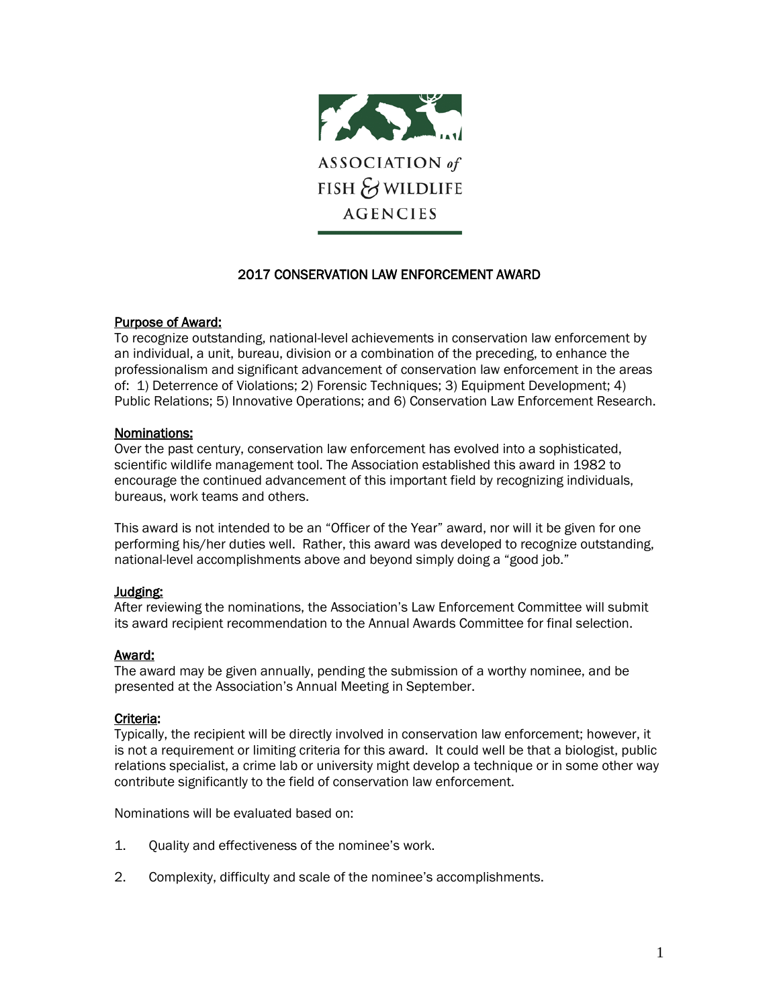

# 2017 CONSERVATION LAW ENFORCEMENT AWARD

#### Purpose of Award:

To recognize outstanding, national-level achievements in conservation law enforcement by an individual, a unit, bureau, division or a combination of the preceding, to enhance the professionalism and significant advancement of conservation law enforcement in the areas of: 1) Deterrence of Violations; 2) Forensic Techniques; 3) Equipment Development; 4) Public Relations; 5) Innovative Operations; and 6) Conservation Law Enforcement Research.

## Nominations:

Over the past century, conservation law enforcement has evolved into a sophisticated, scientific wildlife management tool. The Association established this award in 1982 to encourage the continued advancement of this important field by recognizing individuals, bureaus, work teams and others.

This award is not intended to be an "Officer of the Year" award, nor will it be given for one performing his/her duties well. Rather, this award was developed to recognize outstanding, national-level accomplishments above and beyond simply doing a "good job."

#### Judging:

After reviewing the nominations, the Association's Law Enforcement Committee will submit its award recipient recommendation to the Annual Awards Committee for final selection.

#### Award:

The award may be given annually, pending the submission of a worthy nominee, and be presented at the Association's Annual Meeting in September.

#### Criteria:

Typically, the recipient will be directly involved in conservation law enforcement; however, it is not a requirement or limiting criteria for this award. It could well be that a biologist, public relations specialist, a crime lab or university might develop a technique or in some other way contribute significantly to the field of conservation law enforcement.

Nominations will be evaluated based on:

- 1. Quality and effectiveness of the nominee's work.
- 2. Complexity, difficulty and scale of the nominee's accomplishments.